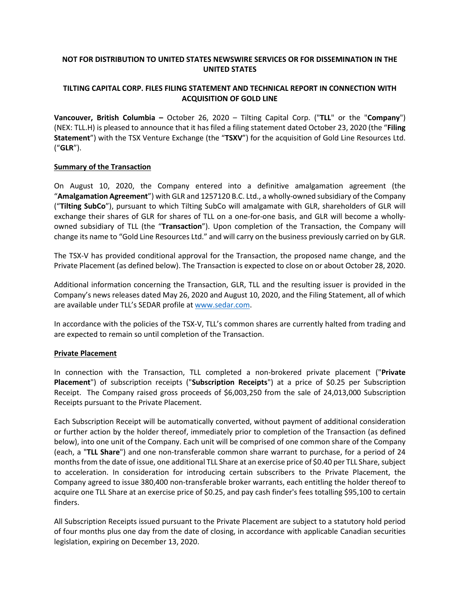# **NOT FOR DISTRIBUTION TO UNITED STATES NEWSWIRE SERVICES OR FOR DISSEMINATION IN THE UNITED STATES**

# **TILTING CAPITAL CORP. FILES FILING STATEMENT AND TECHNICAL REPORT IN CONNECTION WITH ACQUISITION OF GOLD LINE**

**Vancouver, British Columbia –** October 26, 2020 – Tilting Capital Corp. ("**TLL**" or the "**Company**") (NEX: TLL.H) is pleased to announce that it has filed a filing statement dated October 23, 2020 (the "**Filing Statement**") with the TSX Venture Exchange (the "**TSXV**") for the acquisition of Gold Line Resources Ltd. ("**GLR**").

## **Summary of the Transaction**

On August 10, 2020, the Company entered into a definitive amalgamation agreement (the "**Amalgamation Agreement**") with GLR and 1257120 B.C. Ltd., a wholly-owned subsidiary of the Company ("**Tilting SubCo**"), pursuant to which Tilting SubCo will amalgamate with GLR, shareholders of GLR will exchange their shares of GLR for shares of TLL on a one-for-one basis, and GLR will become a whollyowned subsidiary of TLL (the "**Transaction**"). Upon completion of the Transaction, the Company will change its name to "Gold Line Resources Ltd." and will carry on the business previously carried on by GLR.

The TSX-V has provided conditional approval for the Transaction, the proposed name change, and the Private Placement (as defined below). The Transaction is expected to close on or about October 28, 2020.

Additional information concerning the Transaction, GLR, TLL and the resulting issuer is provided in the Company's news releases dated May 26, 2020 and August 10, 2020, and the Filing Statement, all of which are available under TLL's SEDAR profile a[t www.sedar.com.](http://www.sedar.com/)

In accordance with the policies of the TSX-V, TLL's common shares are currently halted from trading and are expected to remain so until completion of the Transaction.

#### **Private Placement**

In connection with the Transaction, TLL completed a non-brokered private placement ("**Private Placement**") of subscription receipts ("**Subscription Receipts**") at a price of \$0.25 per Subscription Receipt. The Company raised gross proceeds of \$6,003,250 from the sale of 24,013,000 Subscription Receipts pursuant to the Private Placement.

Each Subscription Receipt will be automatically converted, without payment of additional consideration or further action by the holder thereof, immediately prior to completion of the Transaction (as defined below), into one unit of the Company. Each unit will be comprised of one common share of the Company (each, a "**TLL Share**") and one non-transferable common share warrant to purchase, for a period of 24 months from the date of issue, one additional TLL Share at an exercise price of \$0.40 per TLL Share, subject to acceleration. In consideration for introducing certain subscribers to the Private Placement, the Company agreed to issue 380,400 non-transferable broker warrants, each entitling the holder thereof to acquire one TLL Share at an exercise price of \$0.25, and pay cash finder's fees totalling \$95,100 to certain finders.

All Subscription Receipts issued pursuant to the Private Placement are subject to a statutory hold period of four months plus one day from the date of closing, in accordance with applicable Canadian securities legislation, expiring on December 13, 2020.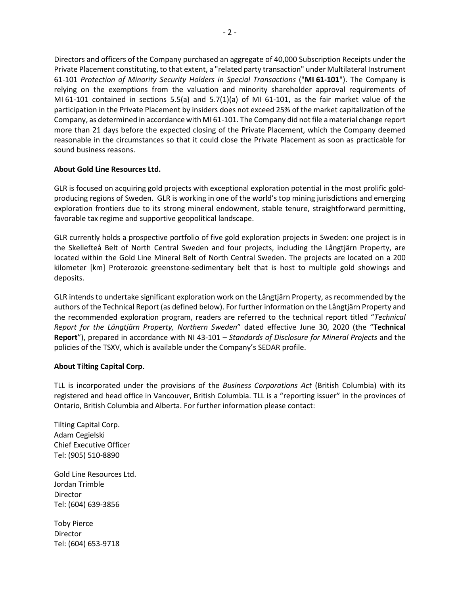Directors and officers of the Company purchased an aggregate of 40,000 Subscription Receipts under the Private Placement constituting, to that extent, a "related party transaction" under Multilateral Instrument 61-101 *Protection of Minority Security Holders in Special Transactions* ("**MI 61-101**"). The Company is relying on the exemptions from the valuation and minority shareholder approval requirements of MI 61-101 contained in sections 5.5(a) and 5.7(1)(a) of MI 61-101, as the fair market value of the participation in the Private Placement by insiders does not exceed 25% of the market capitalization of the Company, as determined in accordance with MI 61-101. The Company did not file a material change report more than 21 days before the expected closing of the Private Placement, which the Company deemed reasonable in the circumstances so that it could close the Private Placement as soon as practicable for sound business reasons.

# **About Gold Line Resources Ltd.**

GLR is focused on acquiring gold projects with exceptional exploration potential in the most prolific goldproducing regions of Sweden. GLR is working in one of the world's top mining jurisdictions and emerging exploration frontiers due to its strong mineral endowment, stable tenure, straightforward permitting, favorable tax regime and supportive geopolitical landscape.

GLR currently holds a prospective portfolio of five gold exploration projects in Sweden: one project is in the Skellefteå Belt of North Central Sweden and four projects, including the Långtjärn Property, are located within the Gold Line Mineral Belt of North Central Sweden. The projects are located on a 200 kilometer [km] Proterozoic greenstone-sedimentary belt that is host to multiple gold showings and deposits.

GLR intends to undertake significant exploration work on the Långtjärn Property, as recommended by the authors of the Technical Report (as defined below). For further information on the Långtjärn Property and the recommended exploration program, readers are referred to the technical report titled "*Technical Report for the Långtjärn Property, Northern Sweden*" dated effective June 30, 2020 (the "**Technical Report**"), prepared in accordance with NI 43-101 – *Standards of Disclosure for Mineral Projects* and the policies of the TSXV, which is available under the Company's SEDAR profile.

## **About Tilting Capital Corp.**

TLL is incorporated under the provisions of the *Business Corporations Act* (British Columbia) with its registered and head office in Vancouver, British Columbia. TLL is a "reporting issuer" in the provinces of Ontario, British Columbia and Alberta. For further information please contact:

Tilting Capital Corp. Adam Cegielski Chief Executive Officer Tel: (905) 510-8890

Gold Line Resources Ltd. Jordan Trimble Director [Tel: \(604\)](tel:(604)) 639-3856

Toby Pierce Director Tel: (604) 653-9718